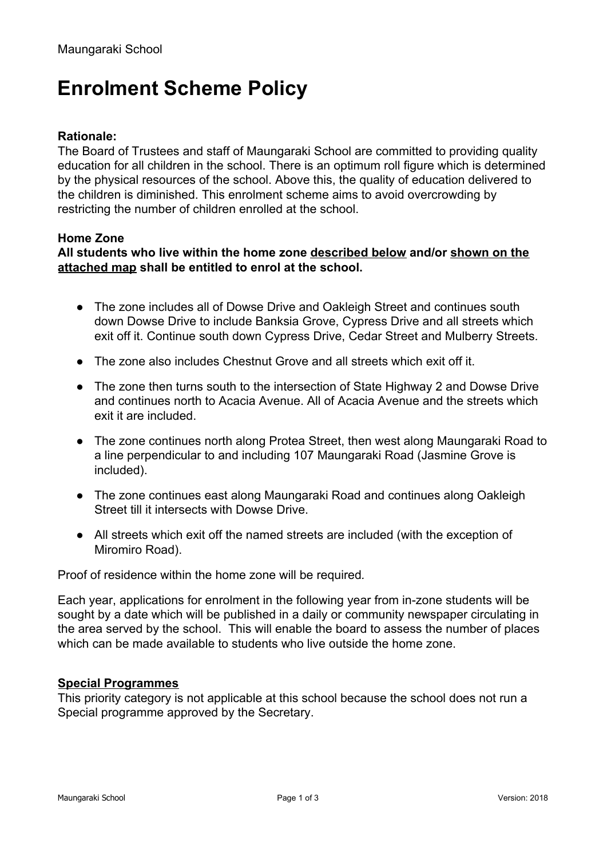# **Enrolment Scheme Policy**

### **Rationale:**

The Board of Trustees and staff of Maungaraki School are committed to providing quality education for all children in the school. There is an optimum roll figure which is determined by the physical resources of the school. Above this, the quality of education delivered to the children is diminished. This enrolment scheme aims to avoid overcrowding by restricting the number of children enrolled at the school.

#### **Home Zone**

#### **All students who live within the home zone described below and/or shown on the attached map shall be entitled to enrol at the school.**

- The zone includes all of Dowse Drive and Oakleigh Street and continues south down Dowse Drive to include Banksia Grove, Cypress Drive and all streets which exit off it. Continue south down Cypress Drive, Cedar Street and Mulberry Streets.
- The zone also includes Chestnut Grove and all streets which exit off it.
- The zone then turns south to the intersection of State Highway 2 and Dowse Drive and continues north to Acacia Avenue. All of Acacia Avenue and the streets which exit it are included.
- The zone continues north along Protea Street, then west along Maungaraki Road to a line perpendicular to and including 107 Maungaraki Road (Jasmine Grove is included).
- The zone continues east along Maungaraki Road and continues along Oakleigh Street till it intersects with Dowse Drive.
- All streets which exit off the named streets are included (with the exception of Miromiro Road).

Proof of residence within the home zone will be required*.*

Each year, applications for enrolment in the following year from in-zone students will be sought by a date which will be published in a daily or community newspaper circulating in the area served by the school. This will enable the board to assess the number of places which can be made available to students who live outside the home zone.

#### **Special Programmes**

This priority category is not applicable at this school because the school does not run a Special programme approved by the Secretary.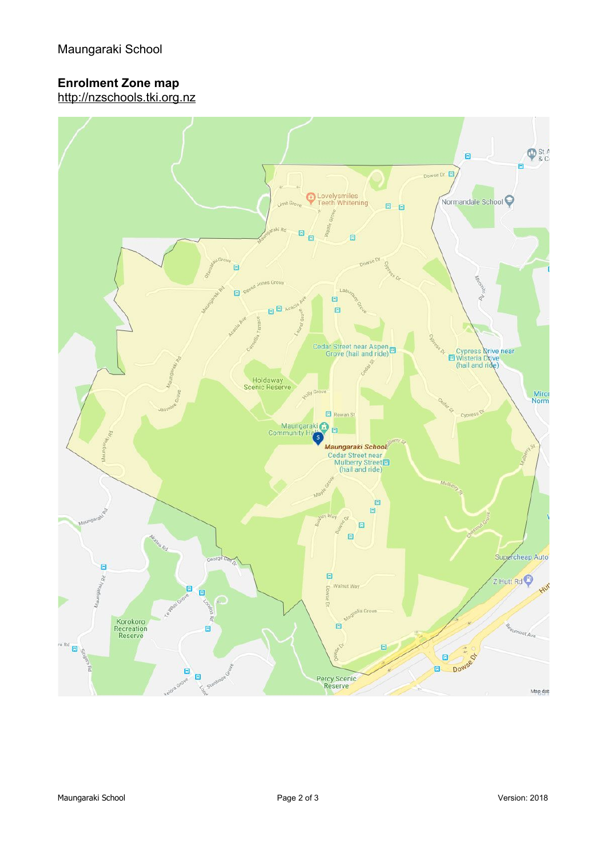# **Enrolment Zone map**

http://nzschools.tki.org.nz